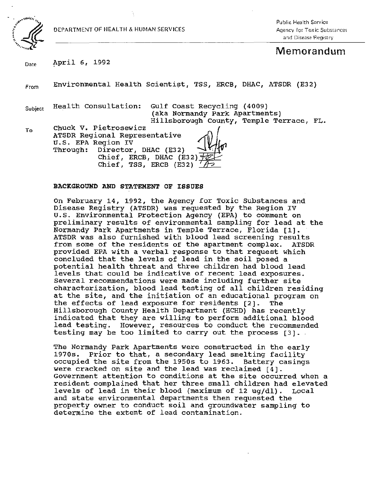

To

DEPARTMENT OF HEALTH & HUMAN SERVICES

 $\ddot{\ddot{\cdot}}$ 

Pu blic Health Service Agency for Tox ic Substances and Disease Registry

# Memorandum

Date April 6, 1992

From Environmental Health Scientist, TSS, ERCB, DHAC, ATSDR (E32)

Subject

Health Consultation: Gulf Coast Recycling (4009) (aka Normandy Park Apartments)<br>Hillsborough County, Temple Text<br>ntative (1) Hillsborough County, Temple Terrace, FL.

ATSDR Regional Representative :} Chuck V. Pietrosewicz U.S. EPA Region IV<br>Through: Director,  $\rho$ irector, DHAC (E32) Chief, ERCB, DHAC (E32)  $\pm$ Chief, TSS, ERCB (E32)

## BACKGROUND AND STATEMENT OF ISSUES

On February 14, 1992, the Agency for Toxic Substances and Disease Registry (ATSDR) was requested by the Region IV u.s. Environmental Protection Agency (EPA) to comment on preliminary results of environmental sampling for lead at the Normandy Park Apartments in Temple Terrace, Florida [1]. ATSDR was also furnished with blood lead screening results from some of the residents of the apartment complex. ATSDR provided EPA with a verbal response to that request which concluded that the levels of lead in the soil posed a potential health threat and three children had blood lead levels that could be indicative of recent lead exposures. Several recommendations were made including further site characterization, blood lead testing of all children residing at the site, and the initiation of an educational program on<br>the effects of lead exposure for residents [2]. The the effects of lead exposure for residents  $[2]$ . Hillsborough County Health Department (HCHD) has recently indicated that they are willing to perform additional blood lead testing. However, resources to conduct the recommended testing may be too limited to carry out the process (3] . .

The Normandy Park Apartments were constructed in the early 1970s. Prior to that, a secondary lead smelting facility occupied the site from the 1950s to 1963. Battery casings were cracked on site and the lead was reclaimed [4]. Government attention to conditions at the site occurred when a resident complained that her three small children had elevated levels of lead in their blood (maximum of 12 uq/dl). Local and state environmental departments then requested the property owner to conduct soil and groundwater sampling to determine the extent of lead contamination.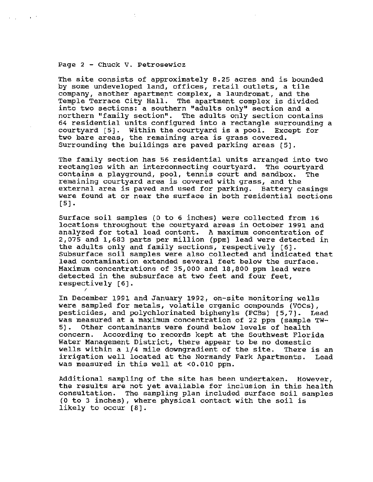### Page 2 - Chuck v. Petrosewicz

**Contract** 

/

The site consists of approximately 8.25 acres and is bounded by some undeveloped land, offices, retail outlets, a tile company, another apartment complex, a laundromat, and the Temple Terrace City Hall. The apartment complex is divided into two sections: a southern "adults only" section and a northern "family section". The adults only section contains 64 residential units configured into a rectangle surrounding a courtyard [5]. Within the courtyard is a pool. Except for two bare areas, the remaining area is grass covered. Surrounding the buildings are paved parking areas  $[5]$ .

The family section has 56 residential units arranged into two rectangles with an interconnecting courtyard. The courtyard contains a playground, pool, tennis court and sandbox. The remaining courtyard area is covered with grass, and the external area is paved and used for parking. Battery casings were found at or near the surface in both residential sections [5].

Surface soil samples (0 to 6 inches) were collected from 16 locations throughout the courtyard areas in October 1991 and analyzed for total lead content. A maximum concentration of 2,075 and 1,683 parts per million (ppm) lead were detected. in the adults only and family sections, respectively [6]. Subsurface soil samples were also collected and indicated that lead contamination extended several feet below the surface. Maximum concentrations of 35,000 and 18,800 ppm lead were detected in the subsurface at two feet and four feet, respectively [6] .

In December 1991 and January 1992, on-site monitoring wells were sampled for metals, volatile organic compounds (VOCs), pesticides, and polychlorinated biphenyls (PCBs) [5,7] . Lead was measured at a maximum concentration of 22 ppm (sample TW-<br>5). Other contaminants were found below levels of health Other contaminants were found below levels of health concern. According to records kept at the Southwest Florida Water Management District, there appear to be no domestic<br>wells within a 1/4 mile downgradient of the site. There is an wells within a 1/4 mile downgradient of the site. irrigation well located at the Normandy Park Apartments. Lead was measured in this well at <0 . 010 ppm.

Additional sampling of the site has been undertaken. However, the results are not yet available for inclusion in this health consultation. The sampling plan included surface soil samples (0 to 3 inches), where physical contact with the soil is likely to occur [8).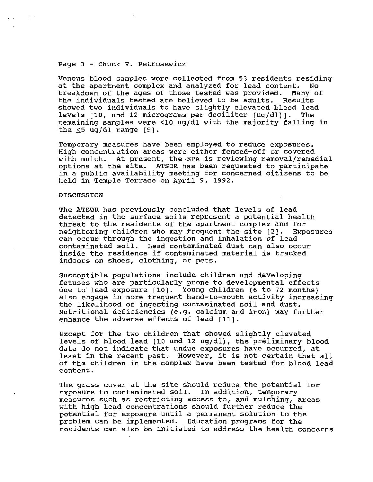## Page 3 - Chuck V. Petrosewicz

Venous blood samples were collected from 53 residents residing at the apartment complex and analyzed for lead content. breakdown of the ages of those tested was provided. Many of the individuals tested are believed to be adults. Results the individuals tested are believed to be adults. showed two individuals to have slightly elevated blood lead levels  $[10, and 12$  micrograms per deciliter  $(ug/dl)$ ]. The remaining samples were <10 ug/dl with the majority falling in the  $\leq$ 5 ug/dl range [9].

Temporary measures have been employed to reduce exposures. High concentration areas were either fenced-off or covered with mulch. At present, the EPA is reviewing removal/remedial options at the site. ATSDR has been requested to participate in a public availability meeting for concerned citizens to be held in Temple Terrace on April 9, 1992.

#### DISCUSSION

The ATSDR has previously concluded that levels of lead detected in the surface soils represent a potential health threat to the residents of the apartment complex and for neighboring children who may frequent the site [2). Exposures can occur through the ingestion and inhalation of lead contaminated soil. Lead contaminated dust can also occur inside the residence if contaminated material is tracked indoors on shoes, clothing, or pets.

Susceptible populations include children and developing fetuses who are particularly prone to developmental effects due to lead exposure  $[10]$ . Young children (6 to 72 months) also engage in more frequent hand-to-mouth activity increasing the likelihood of ingesting contaminated soil and dust. Nutritional deficiencies (e.g. calcium and iron) may further enhance the adverse effects of lead [11).

Except for the two children that showed slightly elevated levels of blood lead (10 and 12 ug/dl), the preliminary blood data do not indicate that undue exposures have occurred, at least in the recent past. However, it is not certain that all of the children in the complex have been tested for blood lead content.

The grass cover at the site should reduce the potential for exposure to contaminated soil. In addition, temporary measures such as restricting access to, and mulching, areas with high lead concentrations should further reduce the potential for exposure until a permanent solution to the problem can be implemented. Education programs for the residents can also be initiated to address the health concerns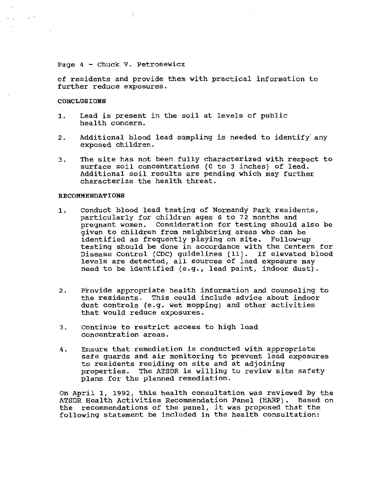## Page 4 - Chuck v. Petrosewicz

of residents and provide them with practical information to further reduce exposures.

## CONCLUSIONS

. .

 $\sim$   $^{\circ}$ 

- 1. Lead is present in the soil at levels of public health concern.
- 2. Additional blood lead sampling is needed to identify any exposed children.
- 3. The site has not been fully characterized with respect to surface soil concentrations (0 to 3 inches) of lead. Additional soil results are pending which may further characterize the health threat.

### RECOMMENDATIONS

- 1. Conduct blood lead testing of Normandy Park residents, particularly for children ages 6 to 72 months and pregnant women. Consideration for testing should also be given to children from neighboring areas who can. be· identified as frequently playing on site. Follow-up testing should be done in accordance with the Centers for Disease Control (CDC) guidelines [11]. If elevated blood levels are detected, all sources of lead exposure may need to be identified (e.g., lead paint, indoor dust).
- 2. Provide appropriate health information and counseling to the residents. This could include advice about indoor dust controls (e.g. wet mopping) and other activities that would reduce exposures.
- 3. Continue to restrict access to high lead concentration areas.
- 4. Ensure that remediation is conducted with appropriate safe guards and air monitoring to prevent lead exposures to residents residing on site and at adjoining properties. The ATSDR is willing to review site safety plans for the planned remediation.

On April 1, 1992, this health consultation was reviewed by the ATSDR Health Activities Recommendation Panel (HARP). Based on the recommendations of the panel, it was proposed that the following statement be included in the health consultation: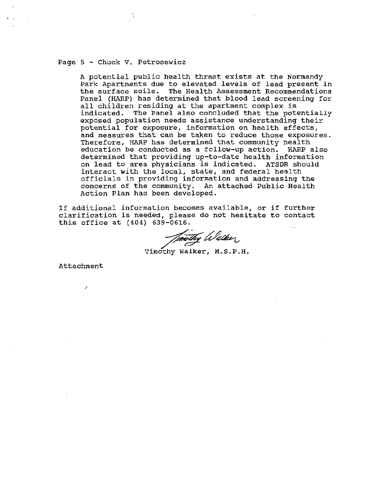## Page 5 - Chuck v. Petrosewicz

A potential public health threat exists at the Normandy Park Apartments due to elevated levels of lead present in the surface soils. The Health Assessment Recommendations Panel (HARP) has determined that blood lead screening for all children residing at the apartment complex is indicated. The Panel also concluded that the potentially exposed population needs assistance understanding their potential for exposure, information on health effects, and measures that can be taken to reduce those exposures. Therefore, HARP has determined that community health education be conducted as a follow-up action. HARP also determined that providing up-to-date health information on lead to area physicians is indicated. ATSDR should interact with the local, state, and federal health officials in providing information and addressing the concerns of the community. An attached Public Health Action Plan has been developed.

If additional information becomes available, or if further clarification is needed, please do not hesitate to contact this office at (404) 639-0616.

mothy Walker

Attachment

/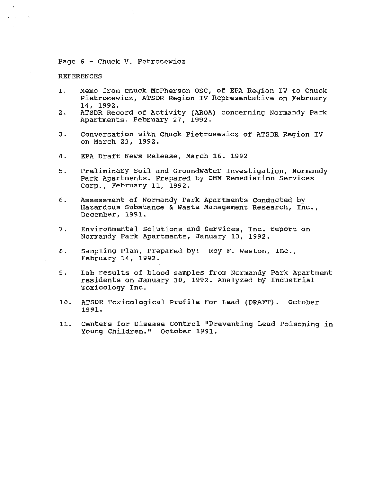Page 6 - Chuck V. Petrosewicz

'n.

#### **REFERENCES**

 $\sim 30\%$ 

- 1. Memo from Chuck McPherson OSC, of EPA Region IV to Chuck Pietrosewicz, ATSDR Region IV Representative on February 14 , 1992.
- 2. ATSDR Record of Activity (AROA) concerning Normandy Park Apartments. February 27, 1992.
- 3. Conversation with Chuck Pietrosewicz of ATSDR Region IV on March 23, 1992.
- 4. EPA Draft News Release, March 16. 1992
- 5. Preliminary Soil and Groundwater Investigation, Normandy Park Apartments. Prepared by OHM Remediation Services Corp., February 11, 1992.
- 6. Assessment of Normandy Park Apartments Conducted by Hazardous Substance & Waste Management Research, Inc., December, 1991.
- 7. Environmental Solutions and services, Inc. report on Normandy Park Apartments, January 13, 1992.
- 8. Sampling Plan, Prepared by: Roy F. Weston, Inc., February 14, 1992.
- 9. Lab results of blood samples from Normandy Park Apartment residents on January 30, 1992. Analyzed by Industrial Toxicology Inc.
- 10. ATSDR Toxicological Profile For Lead (DRAFT). october 1991.
- 11. Centers for Disease Control "Preventing Lead Poisoning in Young Children." October 1991.